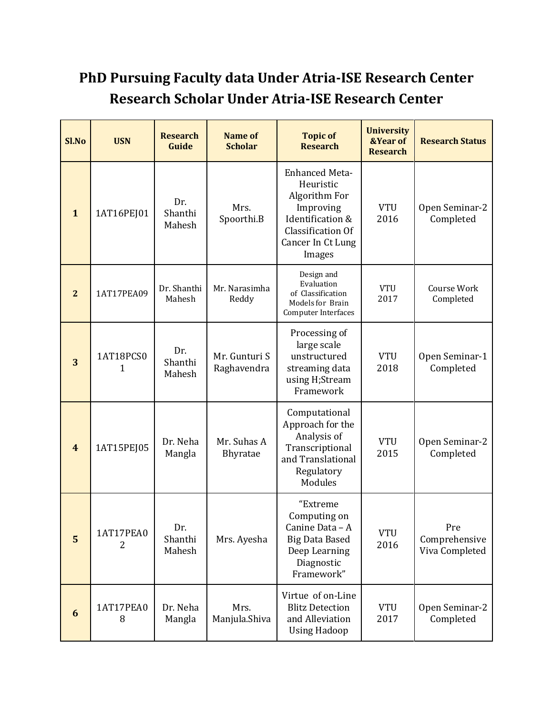## **PhD Pursuing Faculty data Under Atria-ISE Research Center Research Scholar Under Atria-ISE Research Center**

| Sl.No                   | <b>USN</b>     | <b>Research</b><br>Guide | <b>Name of</b><br><b>Scholar</b> | <b>Topic of</b><br><b>Research</b>                                                                                                | <b>University</b><br><b>&amp;Year of</b><br><b>Research</b> | <b>Research Status</b>                 |
|-------------------------|----------------|--------------------------|----------------------------------|-----------------------------------------------------------------------------------------------------------------------------------|-------------------------------------------------------------|----------------------------------------|
| $\mathbf{1}$            | 1AT16PEJ01     | Dr.<br>Shanthi<br>Mahesh | Mrs.<br>Spoorthi.B               | Enhanced Meta-<br>Heuristic<br>Algorithm For<br>Improving<br>Identification &<br>Classification Of<br>Cancer In Ct Lung<br>Images | <b>VTU</b><br>2016                                          | Open Seminar-2<br>Completed            |
| $\mathbf{2}$            | 1AT17PEA09     | Dr. Shanthi<br>Mahesh    | Mr. Narasimha<br>Reddy           | Design and<br>Evaluation<br>of Classification<br><b>Models for Brain</b><br>Computer Interfaces                                   | <b>VTU</b><br>2017                                          | Course Work<br>Completed               |
| 3                       | 1AT18PCS0<br>1 | Dr.<br>Shanthi<br>Mahesh | Mr. Gunturi S<br>Raghavendra     | Processing of<br>large scale<br>unstructured<br>streaming data<br>using H;Stream<br>Framework                                     | <b>VTU</b><br>2018                                          | Open Seminar-1<br>Completed            |
| $\overline{\mathbf{4}}$ | 1AT15PEJ05     | Dr. Neha<br>Mangla       | Mr. Suhas A<br>Bhyratae          | Computational<br>Approach for the<br>Analysis of<br>Transcriptional<br>and Translational<br>Regulatory<br>Modules                 | <b>VTU</b><br>2015                                          | Open Seminar-2<br>Completed            |
| 5                       | 1AT17PEA0<br>2 | Dr.<br>Shanthi<br>Mahesh | Mrs. Ayesha                      | "Extreme<br>Computing on<br>Canine Data - A<br><b>Big Data Based</b><br>Deep Learning<br>Diagnostic<br>Framework"                 | <b>VTU</b><br>2016                                          | Pre<br>Comprehensive<br>Viva Completed |
| 6                       | 1AT17PEA0<br>8 | Dr. Neha<br>Mangla       | Mrs.<br>Manjula.Shiva            | Virtue of on-Line<br><b>Blitz Detection</b><br>and Alleviation<br><b>Using Hadoop</b>                                             | <b>VTU</b><br>2017                                          | Open Seminar-2<br>Completed            |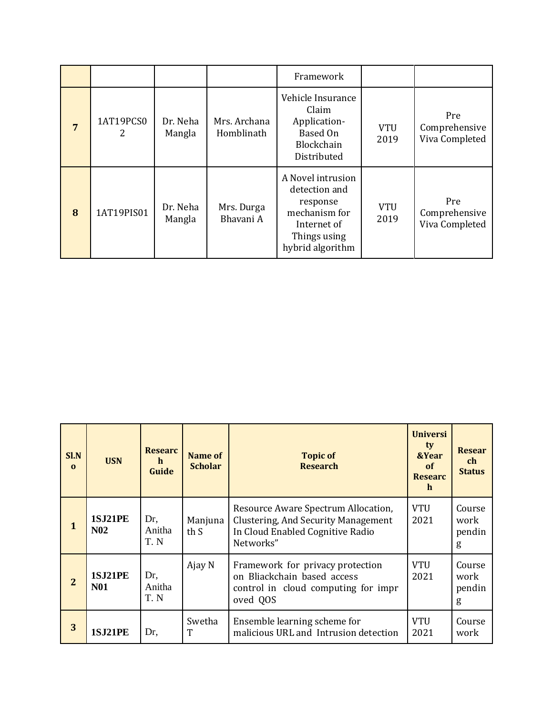|   |                |                    |                            | Framework                                                                                                          |                    |                                        |
|---|----------------|--------------------|----------------------------|--------------------------------------------------------------------------------------------------------------------|--------------------|----------------------------------------|
| 7 | 1AT19PCS0<br>2 | Dr. Neha<br>Mangla | Mrs. Archana<br>Homblinath | Vehicle Insurance<br>Claim<br>Application-<br>Based On<br>Blockchain<br>Distributed                                | <b>VTU</b><br>2019 | Pre<br>Comprehensive<br>Viva Completed |
| 8 | 1AT19PIS01     | Dr. Neha<br>Mangla | Mrs. Durga<br>Bhavani A    | A Novel intrusion<br>detection and<br>response<br>mechanism for<br>Internet of<br>Things using<br>hybrid algorithm | <b>VTU</b><br>2019 | Pre<br>Comprehensive<br>Viva Completed |

| Sl.N<br>$\mathbf{0}$ | <b>USN</b>                   | <b>Researc</b><br>$\mathbf{h}$<br>Guide | Name of<br><b>Scholar</b> | <b>Topic of</b><br><b>Research</b>                                                                                          | <b>Universi</b><br>ty<br>&Year<br>of<br><b>Researc</b><br>$\mathbf{h}$ | <b>Resear</b><br>ch<br><b>Status</b> |
|----------------------|------------------------------|-----------------------------------------|---------------------------|-----------------------------------------------------------------------------------------------------------------------------|------------------------------------------------------------------------|--------------------------------------|
| $\mathbf{1}$         | <b>1SJ21PE</b><br><b>N02</b> | Dr,<br>Anitha<br>T. N                   | Manjuna<br>th S           | Resource Aware Spectrum Allocation,<br>Clustering, And Security Management<br>In Cloud Enabled Cognitive Radio<br>Networks" | <b>VTU</b><br>2021                                                     | Course<br>work<br>pendin<br>g        |
| $\overline{2}$       | <b>1SJ21PE</b><br><b>N01</b> | Dr,<br>Anitha<br>T.N                    | Ajay N                    | Framework for privacy protection<br>on Bliackchain based access<br>control in cloud computing for impr<br>oved QOS          | <b>VTU</b><br>2021                                                     | Course<br>work<br>pendin<br>g        |
| 3                    | <b>1SJ21PE</b>               | Dr,                                     | Swetha<br>T               | Ensemble learning scheme for<br>malicious URL and Intrusion detection                                                       | <b>VTU</b><br>2021                                                     | Course<br>work                       |